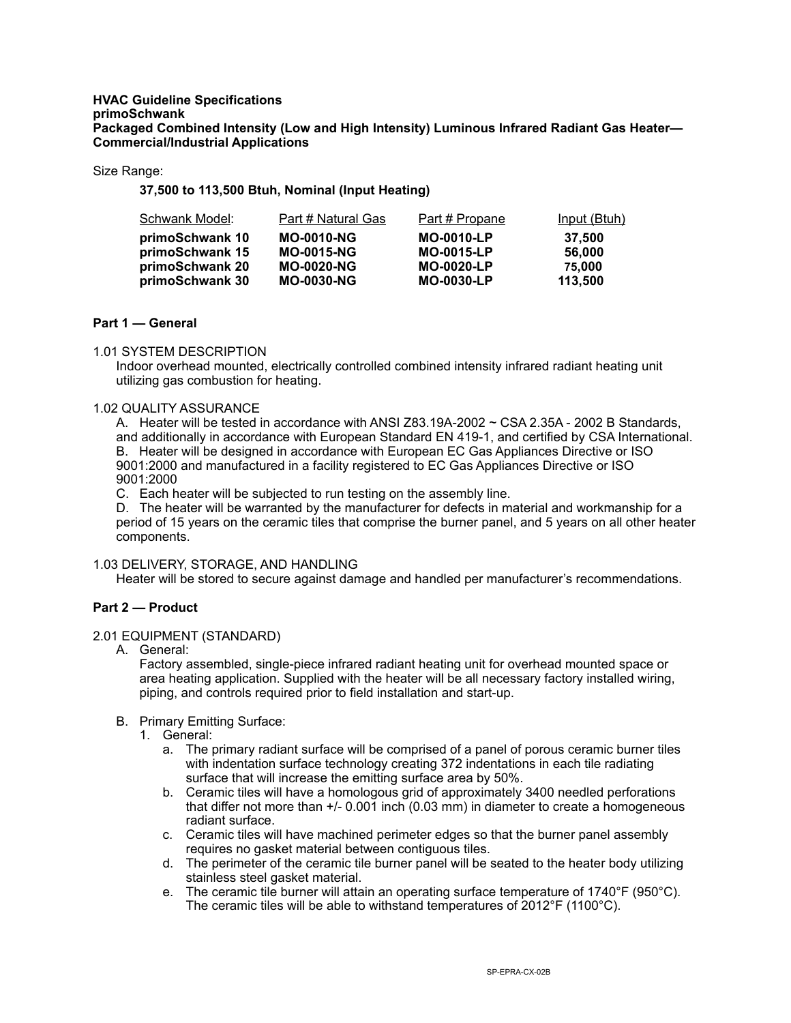#### **HVAC Guideline Specifications primoSchwank Packaged Combined Intensity (Low and High Intensity) Luminous Infrared Radiant Gas Heater— Commercial/Industrial Applications**

Size Range:

**37,500 to 113,500 Btuh, Nominal (Input Heating)** 

| Schwank Model:  | Part # Natural Gas | <u>Part # Propane</u> | <u>Input (Btuh)</u> |
|-----------------|--------------------|-----------------------|---------------------|
| primoSchwank 10 | <b>MO-0010-NG</b>  | <b>MO-0010-LP</b>     | 37.500              |
| primoSchwank 15 | <b>MO-0015-NG</b>  | <b>MO-0015-LP</b>     | 56,000              |
| primoSchwank 20 | <b>MO-0020-NG</b>  | <b>MO-0020-LP</b>     | 75,000              |
| primoSchwank 30 | <b>MO-0030-NG</b>  | <b>MO-0030-LP</b>     | 113,500             |

# **Part 1 — General**

### 1.01 SYSTEM DESCRIPTION

Indoor overhead mounted, electrically controlled combined intensity infrared radiant heating unit utilizing gas combustion for heating.

#### 1.02 QUALITY ASSURANCE

A. Heater will be tested in accordance with ANSI Z83.19A-2002 ~ CSA 2.35A - 2002 B Standards, and additionally in accordance with European Standard EN 419-1, and certified by CSA International. B. Heater will be designed in accordance with European EC Gas Appliances Directive or ISO 9001:2000 and manufactured in a facility registered to EC Gas Appliances Directive or ISO 9001:2000

C. Each heater will be subjected to run testing on the assembly line.

D. The heater will be warranted by the manufacturer for defects in material and workmanship for a period of 15 years on the ceramic tiles that comprise the burner panel, and 5 years on all other heater components.

### 1.03 DELIVERY, STORAGE, AND HANDLING

Heater will be stored to secure against damage and handled per manufacturer's recommendations.

### **Part 2 — Product**

### 2.01 EQUIPMENT (STANDARD)

A. General:

Factory assembled, single-piece infrared radiant heating unit for overhead mounted space or area heating application. Supplied with the heater will be all necessary factory installed wiring, piping, and controls required prior to field installation and start-up.

- B. Primary Emitting Surface:
	- 1. General:
		- a. The primary radiant surface will be comprised of a panel of porous ceramic burner tiles with indentation surface technology creating 372 indentations in each tile radiating surface that will increase the emitting surface area by 50%.
		- b. Ceramic tiles will have a homologous grid of approximately 3400 needled perforations that differ not more than +/- 0.001 inch (0.03 mm) in diameter to create a homogeneous radiant surface.
		- c. Ceramic tiles will have machined perimeter edges so that the burner panel assembly requires no gasket material between contiguous tiles.
		- d. The perimeter of the ceramic tile burner panel will be seated to the heater body utilizing stainless steel gasket material.
		- e. The ceramic tile burner will attain an operating surface temperature of 1740°F (950°C). The ceramic tiles will be able to withstand temperatures of 2012°F (1100°C).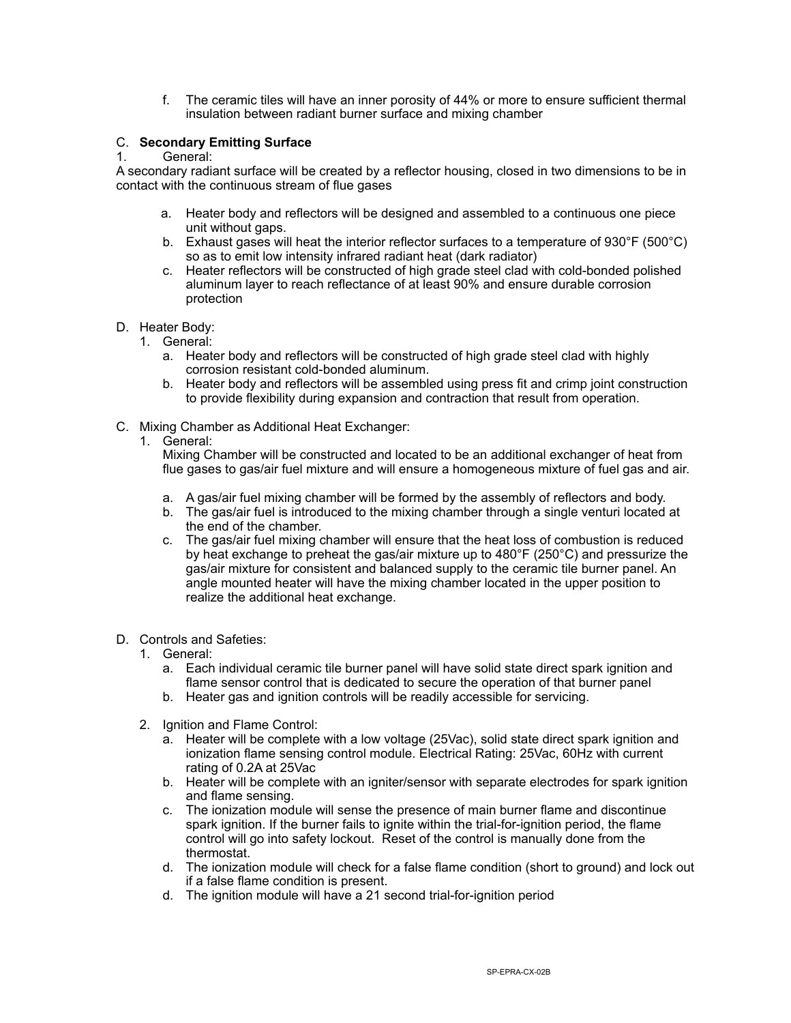f. The ceramic tiles will have an inner porosity of 44% or more to ensure sufficient thermal insulation between radiant burner surface and mixing chamber

# C. **Secondary Emitting Surface**

# 1. General:

A secondary radiant surface will be created by a reflector housing, closed in two dimensions to be in contact with the continuous stream of flue gases

- a. Heater body and reflectors will be designed and assembled to a continuous one piece unit without gaps.
- b. Exhaust gases will heat the interior reflector surfaces to a temperature of 930°F (500°C) so as to emit low intensity infrared radiant heat (dark radiator)
- c. Heater reflectors will be constructed of high grade steel clad with cold-bonded polished aluminum layer to reach reflectance of at least 90% and ensure durable corrosion protection
- D. Heater Body:
	- 1. General:
		- a. Heater body and reflectors will be constructed of high grade steel clad with highly corrosion resistant cold-bonded aluminum.
		- b. Heater body and reflectors will be assembled using press fit and crimp joint construction to provide flexibility during expansion and contraction that result from operation.
- C. Mixing Chamber as Additional Heat Exchanger:
	- 1. General:

Mixing Chamber will be constructed and located to be an additional exchanger of heat from flue gases to gas/air fuel mixture and will ensure a homogeneous mixture of fuel gas and air.

- a. A gas/air fuel mixing chamber will be formed by the assembly of reflectors and body.
- b. The gas/air fuel is introduced to the mixing chamber through a single venturi located at the end of the chamber.
- c. The gas/air fuel mixing chamber will ensure that the heat loss of combustion is reduced by heat exchange to preheat the gas/air mixture up to 480°F (250°C) and pressurize the gas/air mixture for consistent and balanced supply to the ceramic tile burner panel. An angle mounted heater will have the mixing chamber located in the upper position to realize the additional heat exchange.
- D. Controls and Safeties:
	- 1. General:
		- a. Each individual ceramic tile burner panel will have solid state direct spark ignition and flame sensor control that is dedicated to secure the operation of that burner panel
		- b. Heater gas and ignition controls will be readily accessible for servicing.
	- 2. Ignition and Flame Control:
		- a. Heater will be complete with a low voltage (25Vac), solid state direct spark ignition and ionization flame sensing control module. Electrical Rating: 25Vac, 60Hz with current rating of 0.2A at 25Vac
		- b. Heater will be complete with an igniter/sensor with separate electrodes for spark ignition and flame sensing.
		- c. The ionization module will sense the presence of main burner flame and discontinue spark ignition. If the burner fails to ignite within the trial-for-ignition period, the flame control will go into safety lockout. Reset of the control is manually done from the thermostat.
		- d. The ionization module will check for a false flame condition (short to ground) and lock out if a false flame condition is present.
		- d. The ignition module will have a 21 second trial-for-ignition period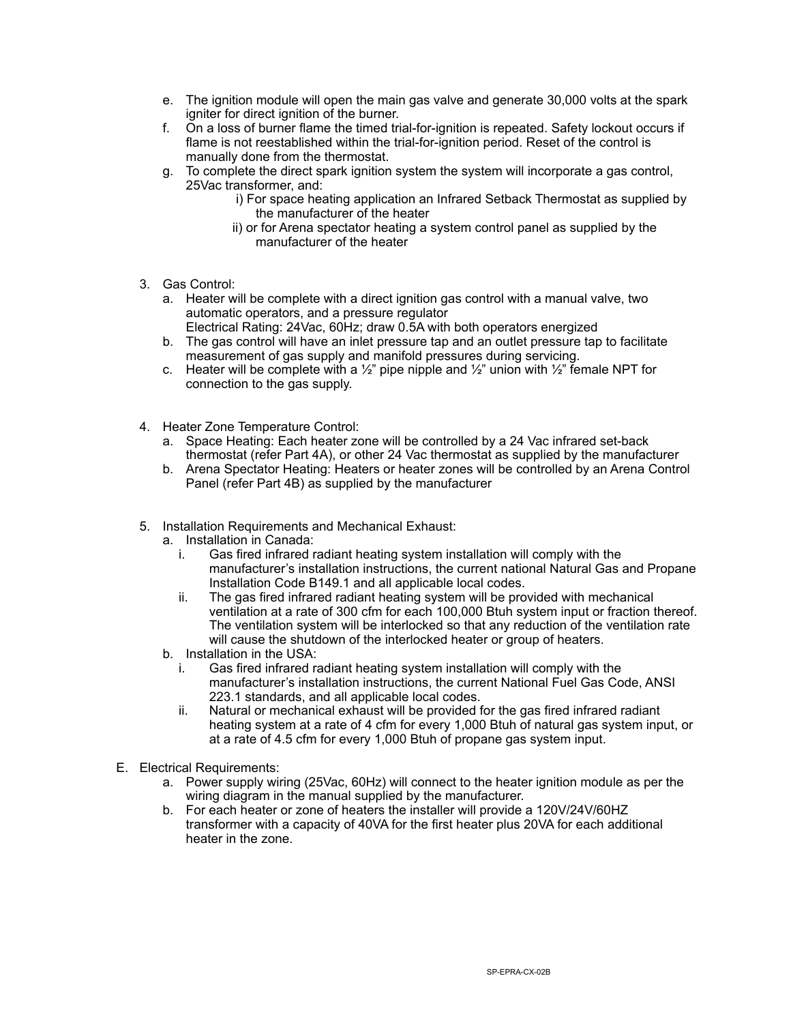- e. The ignition module will open the main gas valve and generate 30,000 volts at the spark igniter for direct ignition of the burner.
- f. On a loss of burner flame the timed trial-for-ignition is repeated. Safety lockout occurs if flame is not reestablished within the trial-for-ignition period. Reset of the control is manually done from the thermostat.
- g. To complete the direct spark ignition system the system will incorporate a gas control, 25Vac transformer, and:
	- i) For space heating application an Infrared Setback Thermostat as supplied by the manufacturer of the heater
	- ii) or for Arena spectator heating a system control panel as supplied by the manufacturer of the heater
- 3. Gas Control:
	- a. Heater will be complete with a direct ignition gas control with a manual valve, two automatic operators, and a pressure regulator Electrical Rating: 24Vac, 60Hz; draw 0.5A with both operators energized
	- b. The gas control will have an inlet pressure tap and an outlet pressure tap to facilitate measurement of gas supply and manifold pressures during servicing.
	- c. Heater will be complete with a  $\frac{1}{2}$ " pipe nipple and  $\frac{1}{2}$ " union with  $\frac{1}{2}$ " female NPT for connection to the gas supply.
- 4. Heater Zone Temperature Control:
	- a. Space Heating: Each heater zone will be controlled by a 24 Vac infrared set-back thermostat (refer Part 4A), or other 24 Vac thermostat as supplied by the manufacturer
	- b. Arena Spectator Heating: Heaters or heater zones will be controlled by an Arena Control Panel (refer Part 4B) as supplied by the manufacturer
- 5. Installation Requirements and Mechanical Exhaust:
	- a. Installation in Canada:
		- i. Gas fired infrared radiant heating system installation will comply with the manufacturer's installation instructions, the current national Natural Gas and Propane Installation Code B149.1 and all applicable local codes.
		- ii. The gas fired infrared radiant heating system will be provided with mechanical ventilation at a rate of 300 cfm for each 100,000 Btuh system input or fraction thereof. The ventilation system will be interlocked so that any reduction of the ventilation rate will cause the shutdown of the interlocked heater or group of heaters.
	- b. Installation in the USA:
		- Gas fired infrared radiant heating system installation will comply with the manufacturer's installation instructions, the current National Fuel Gas Code, ANSI 223.1 standards, and all applicable local codes.
		- ii. Natural or mechanical exhaust will be provided for the gas fired infrared radiant heating system at a rate of 4 cfm for every 1,000 Btuh of natural gas system input, or at a rate of 4.5 cfm for every 1,000 Btuh of propane gas system input.
- E. Electrical Requirements:
	- a. Power supply wiring (25Vac, 60Hz) will connect to the heater ignition module as per the wiring diagram in the manual supplied by the manufacturer.
	- b. For each heater or zone of heaters the installer will provide a 120V/24V/60HZ transformer with a capacity of 40VA for the first heater plus 20VA for each additional heater in the zone.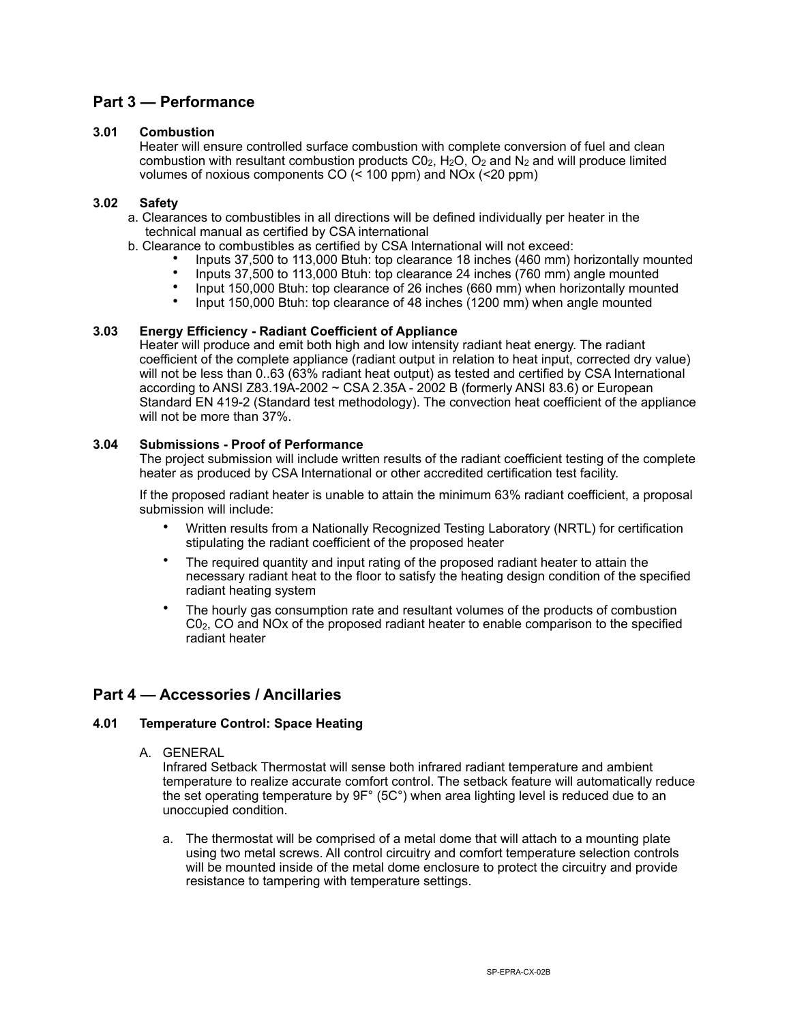# **Part 3 — Performance**

### **3.01 Combustion**

Heater will ensure controlled surface combustion with complete conversion of fuel and clean combustion with resultant combustion products  $C_0$ ,  $H_2O$ ,  $O_2$  and  $N_2$  and will produce limited volumes of noxious components CO (< 100 ppm) and NOx (<20 ppm)

### **3.02 Safety**

- a. Clearances to combustibles in all directions will be defined individually per heater in the technical manual as certified by CSA international
- b. Clearance to combustibles as certified by CSA International will not exceed:
	- Inputs 37,500 to 113,000 Btuh: top clearance 18 inches (460 mm) horizontally mounted
	- Inputs 37,500 to 113,000 Btuh: top clearance 24 inches  $(760 \text{ mm})$  angle mounted<br>• Input 150,000 Btuh: top clearance of 26 inches  $(660 \text{ mm})$  when borizontally mount
	- Input 150,000 Btuh: top clearance of 26 inches (660 mm) when horizontally mounted
	- Input 150,000 Btuh: top clearance of 48 inches (1200 mm) when angle mounted

### **3.03 Energy Efficiency - Radiant Coefficient of Appliance**

Heater will produce and emit both high and low intensity radiant heat energy. The radiant coefficient of the complete appliance (radiant output in relation to heat input, corrected dry value) will not be less than 0..63 (63% radiant heat output) as tested and certified by CSA International according to ANSI Z83.19A-2002  $\sim$  CSA 2.35A - 2002 B (formerly ANSI 83.6) or European Standard EN 419-2 (Standard test methodology). The convection heat coefficient of the appliance will not be more than 37%.

### **3.04 Submissions - Proof of Performance**

The project submission will include written results of the radiant coefficient testing of the complete heater as produced by CSA International or other accredited certification test facility.

If the proposed radiant heater is unable to attain the minimum 63% radiant coefficient, a proposal submission will include:

- Written results from a Nationally Recognized Testing Laboratory (NRTL) for certification stipulating the radiant coefficient of the proposed heater
- The required quantity and input rating of the proposed radiant heater to attain the necessary radiant heat to the floor to satisfy the heating design condition of the specified radiant heating system
- The hourly gas consumption rate and resultant volumes of the products of combustion C02, CO and NOx of the proposed radiant heater to enable comparison to the specified radiant heater

# **Part 4 — Accessories / Ancillaries**

# **4.01 Temperature Control: Space Heating**

A. GENERAL

Infrared Setback Thermostat will sense both infrared radiant temperature and ambient temperature to realize accurate comfort control. The setback feature will automatically reduce the set operating temperature by 9F° (5C°) when area lighting level is reduced due to an unoccupied condition.

a. The thermostat will be comprised of a metal dome that will attach to a mounting plate using two metal screws. All control circuitry and comfort temperature selection controls will be mounted inside of the metal dome enclosure to protect the circuitry and provide resistance to tampering with temperature settings.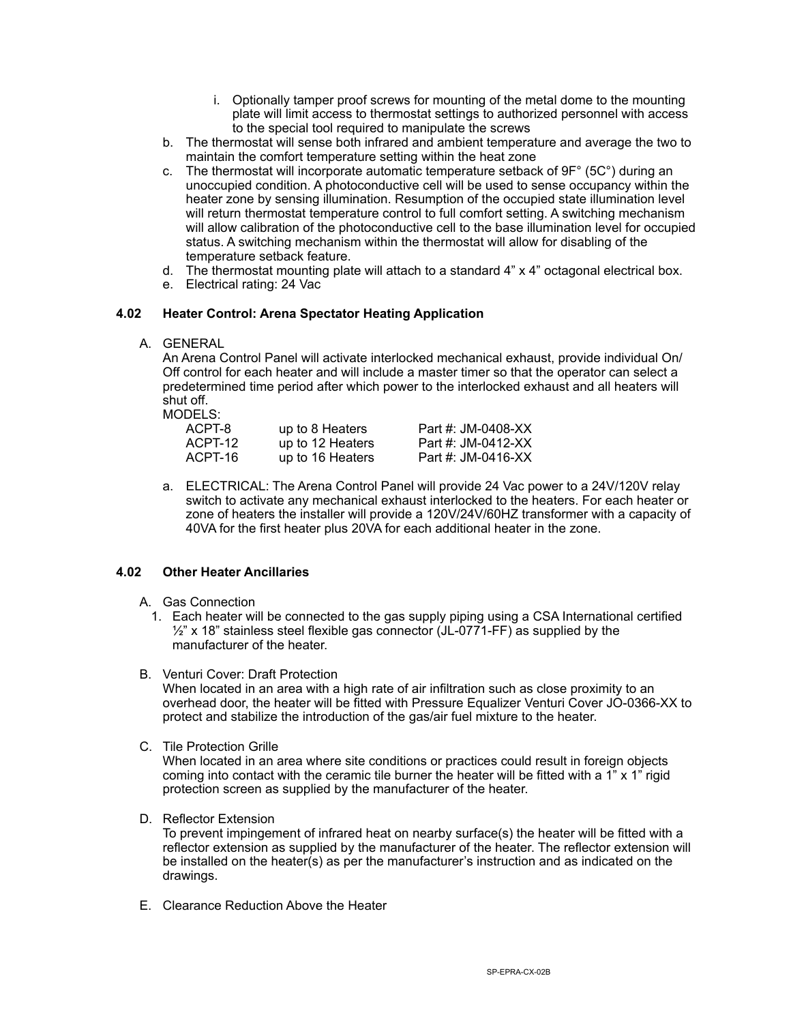- i. Optionally tamper proof screws for mounting of the metal dome to the mounting plate will limit access to thermostat settings to authorized personnel with access to the special tool required to manipulate the screws
- b. The thermostat will sense both infrared and ambient temperature and average the two to maintain the comfort temperature setting within the heat zone
- c. The thermostat will incorporate automatic temperature setback of 9F° (5C°) during an unoccupied condition. A photoconductive cell will be used to sense occupancy within the heater zone by sensing illumination. Resumption of the occupied state illumination level will return thermostat temperature control to full comfort setting. A switching mechanism will allow calibration of the photoconductive cell to the base illumination level for occupied status. A switching mechanism within the thermostat will allow for disabling of the temperature setback feature.
- d. The thermostat mounting plate will attach to a standard 4" x 4" octagonal electrical box.
- e. Electrical rating: 24 Vac

## **4.02 Heater Control: Arena Spectator Heating Application**

A. GENERAL

An Arena Control Panel will activate interlocked mechanical exhaust, provide individual On/ Off control for each heater and will include a master timer so that the operator can select a predetermined time period after which power to the interlocked exhaust and all heaters will shut off.

MODELS:

| ACPT-8  | up to 8 Heaters  | Part #: JM-0408-XX |
|---------|------------------|--------------------|
| ACPT-12 | up to 12 Heaters | Part #: JM-0412-XX |
| ACPT-16 | up to 16 Heaters | Part #: JM-0416-XX |

a. ELECTRICAL: The Arena Control Panel will provide 24 Vac power to a 24V/120V relay switch to activate any mechanical exhaust interlocked to the heaters. For each heater or zone of heaters the installer will provide a 120V/24V/60HZ transformer with a capacity of 40VA for the first heater plus 20VA for each additional heater in the zone.

### **4.02 Other Heater Ancillaries**

- A. Gas Connection
	- 1. Each heater will be connected to the gas supply piping using a CSA International certified  $\frac{1}{2}$ " x 18" stainless steel flexible gas connector (JL-0771-FF) as supplied by the manufacturer of the heater.
- B. Venturi Cover: Draft Protection

When located in an area with a high rate of air infiltration such as close proximity to an overhead door, the heater will be fitted with Pressure Equalizer Venturi Cover JO-0366-XX to protect and stabilize the introduction of the gas/air fuel mixture to the heater.

C. Tile Protection Grille

When located in an area where site conditions or practices could result in foreign objects coming into contact with the ceramic tile burner the heater will be fitted with a  $1$ " x  $1$ " rigid protection screen as supplied by the manufacturer of the heater.

D. Reflector Extension

To prevent impingement of infrared heat on nearby surface(s) the heater will be fitted with a reflector extension as supplied by the manufacturer of the heater. The reflector extension will be installed on the heater(s) as per the manufacturer's instruction and as indicated on the drawings.

E. Clearance Reduction Above the Heater